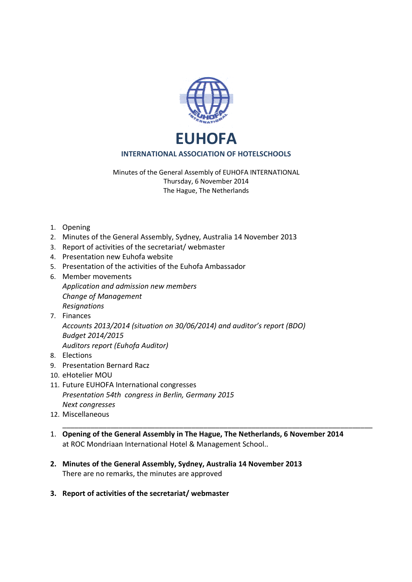

## **INTERNATIONAL ASSOCIATION OF HOTELSCHOOLS**

Minutes of the General Assembly of EUHOFA INTERNATIONAL Thursday, 6 November 2014 The Hague, The Netherlands

- 1. Opening
- 2. Minutes of the General Assembly, Sydney, Australia 14 November 2013
- 3. Report of activities of the secretariat/ webmaster
- 4. Presentation new Euhofa website
- 5. Presentation of the activities of the Euhofa Ambassador
- 6. Member movements *Application and admission new members Change of Management Resignations*
- 7. Finances *Accounts 2013/2014 (situation on 30/06/2014) and auditor's report (BDO) Budget 2014/2015 Auditors report (Euhofa Auditor)*
- 8. Elections
- 9. Presentation Bernard Racz
- 10. eHotelier MOU
- 11. Future EUHOFA International congresses *Presentation 54th congress in Berlin, Germany 2015 Next congresses*
- 12. Miscellaneous
- 1. **Opening of the General Assembly in The Hague, The Netherlands, 6 November 2014**  at ROC Mondriaan International Hotel & Management School..

\_\_\_\_\_\_\_\_\_\_\_\_\_\_\_\_\_\_\_\_\_\_\_\_\_\_\_\_\_\_\_\_\_\_\_\_\_\_\_\_\_\_\_\_\_\_\_\_\_\_\_\_\_\_\_\_\_\_\_\_\_\_\_\_\_\_\_\_\_\_\_\_\_\_\_\_\_

- **2. Minutes of the General Assembly, Sydney, Australia 14 November 2013**  There are no remarks, the minutes are approved
- **3. Report of activities of the secretariat/ webmaster**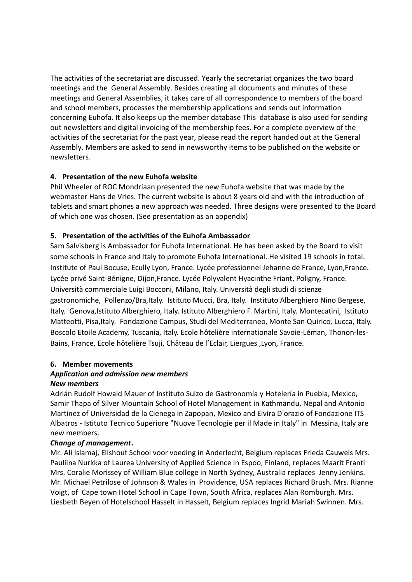The activities of the secretariat are discussed. Yearly the secretariat organizes the two board meetings and the General Assembly. Besides creating all documents and minutes of these meetings and General Assemblies, it takes care of all correspondence to members of the board and school members, processes the membership applications and sends out information concerning Euhofa. It also keeps up the member database This database is also used for sending out newsletters and digital invoicing of the membership fees. For a complete overview of the activities of the secretariat for the past year, please read the report handed out at the General Assembly. Members are asked to send in newsworthy items to be published on the website or newsletters.

# **4. Presentation of the new Euhofa website**

Phil Wheeler of ROC Mondriaan presented the new Euhofa website that was made by the webmaster Hans de Vries. The current website is about 8 years old and with the introduction of tablets and smart phones a new approach was needed. Three designs were presented to the Board of which one was chosen. (See presentation as an appendix)

# **5. Presentation of the activities of the Euhofa Ambassador**

Sam Salvisberg is Ambassador for Euhofa International. He has been asked by the Board to visit some schools in France and Italy to promote Euhofa International. He visited 19 schools in total. Institute of Paul Bocuse, Ecully Lyon, France. Lycée professionnel Jehanne de France, Lyon,France. Lycée privé Saint-Bénigne, Dijon,France. Lycée Polyvalent Hyacinthe Friant, Poligny, France. Università commerciale Luigi Bocconi, Milano, Italy. Università degli studi di scienze gastronomiche, Pollenzo/Bra,Italy. Istituto Mucci, Bra, Italy. Instituto Alberghiero Nino Bergese, Italy. Genova,Istituto Alberghiero, Italy. Istituto Alberghiero F. Martini, Italy. Montecatini, Istituto Matteotti, Pisa,Italy. Fondazione Campus, Studi del Mediterraneo, Monte San Quirico, Lucca, Italy. Boscolo Etoile Academy, Tuscania, Italy. Ecole hôtelière internationale Savoie-Léman, Thonon-les-Bains, France, Ecole hôtelière Tsuji, Château de l'Eclair, Liergues ,Lyon, France.

# **6. Member movements**

#### *Application and admission new members New members*

Adrián Rudolf Howald Mauer of Instituto Suizo de Gastronomía y Hotelería in Puebla, Mexico, Samir Thapa of Silver Mountain School of Hotel Management in Kathmandu, Nepal and Antonio Martinez of Universidad de la Cienega in Zapopan, Mexico and Elvira D'orazio of Fondazione ITS Albatros - Istituto Tecnico Superiore "Nuove Tecnologie per il Made in Italy" in Messina, Italy are new members.

### *Change of management***.**

Mr. Ali Islamaj, Elishout School voor voeding in Anderlecht, Belgium replaces Frieda Cauwels Mrs. Pauliina Nurkka of Laurea University of Applied Science in Espoo, Finland, replaces Maarit Franti Mrs. Coralie Morissey of William Blue college in North Sydney, Australia replaces Jenny Jenkins. Mr. Michael Petrilose of Johnson & Wales in Providence, USA replaces Richard Brush. Mrs. Rianne Voigt, of Cape town Hotel School in Cape Town, South Africa, replaces Alan Romburgh. Mrs. Liesbeth Beyen of Hotelschool Hasselt in Hasselt, Belgium replaces Ingrid Mariah Swinnen. Mrs.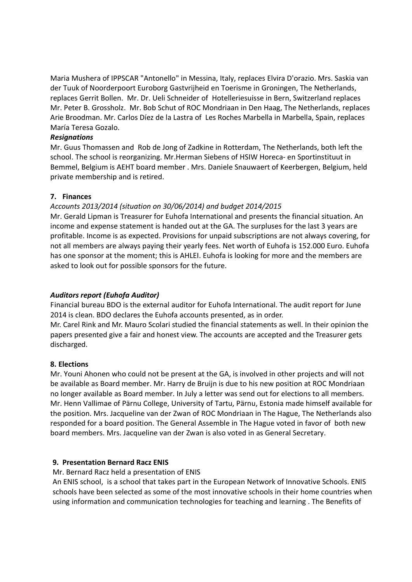Maria Mushera of IPPSCAR "Antonello" in Messina, Italy, replaces Elvira D'orazio. Mrs. Saskia van der Tuuk of Noorderpoort Euroborg Gastvrijheid en Toerisme in Groningen, The Netherlands, replaces Gerrit Bollen. Mr. Dr. Ueli Schneider of Hotelleriesuisse in Bern, Switzerland replaces Mr. Peter B. Grossholz. Mr. Bob Schut of ROC Mondriaan in Den Haag, The Netherlands, replaces Arie Broodman. Mr. Carlos Díez de la Lastra of Les Roches Marbella in Marbella, Spain, replaces María Teresa Gozalo.

### *Resignations*

Mr. Guus Thomassen and Rob de Jong of Zadkine in Rotterdam, The Netherlands, both left the school. The school is reorganizing. Mr.Herman Siebens of HSIW Horeca- en Sportinstituut in Bemmel, Belgium is AEHT board member . Mrs. Daniele Snauwaert of Keerbergen, Belgium, held private membership and is retired.

## **7. Finances**

## *Accounts 2013/2014 (situation on 30/06/2014) and budget 2014/2015*

Mr. Gerald Lipman is Treasurer for Euhofa International and presents the financial situation. An income and expense statement is handed out at the GA. The surpluses for the last 3 years are profitable. Income is as expected. Provisions for unpaid subscriptions are not always covering, for not all members are always paying their yearly fees. Net worth of Euhofa is 152.000 Euro. Euhofa has one sponsor at the moment; this is AHLEI. Euhofa is looking for more and the members are asked to look out for possible sponsors for the future.

# *Auditors report (Euhofa Auditor)*

Financial bureau BDO is the external auditor for Euhofa International. The audit report for June 2014 is clean. BDO declares the Euhofa accounts presented, as in order.

Mr. Carel Rink and Mr. Mauro Scolari studied the financial statements as well. In their opinion the papers presented give a fair and honest view. The accounts are accepted and the Treasurer gets discharged.

### **8. Elections**

Mr. Youni Ahonen who could not be present at the GA, is involved in other projects and will not be available as Board member. Mr. Harry de Bruijn is due to his new position at ROC Mondriaan no longer available as Board member. In July a letter was send out for elections to all members. Mr. Henn Vallimae of Pärnu College, University of Tartu, Pärnu, Estonia made himself available for the position. Mrs. Jacqueline van der Zwan of ROC Mondriaan in The Hague, The Netherlands also responded for a board position. The General Assemble in The Hague voted in favor of both new board members. Mrs. Jacqueline van der Zwan is also voted in as General Secretary.

### **9. Presentation Bernard Racz ENIS**

Mr. Bernard Racz held a presentation of ENIS

An ENIS school, is a school that takes part in the European Network of Innovative Schools. ENIS schools have been selected as some of the most innovative schools in their home countries when using information and communication technologies for teaching and learning . The Benefits of